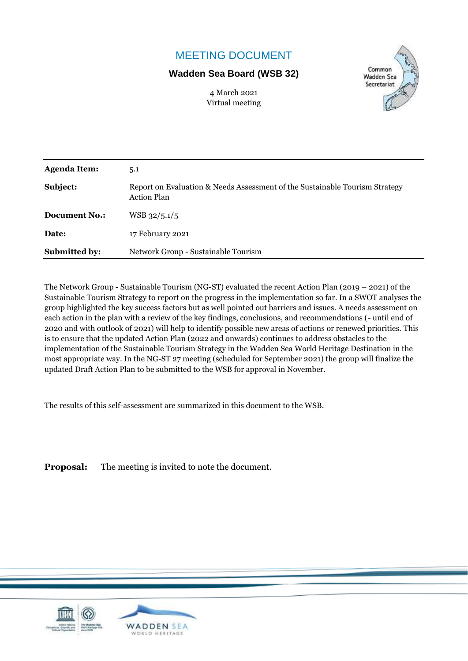## MEETING DOCUMENT

### **Wadden Sea Board (WSB 32)**





| <b>Agenda Item:</b>  | 5.1                                                                                               |
|----------------------|---------------------------------------------------------------------------------------------------|
| Subject:             | Report on Evaluation & Needs Assessment of the Sustainable Tourism Strategy<br><b>Action Plan</b> |
| Document No.:        | $WSB$ 32/5.1/5                                                                                    |
| Date:                | 17 February 2021                                                                                  |
| <b>Submitted by:</b> | Network Group - Sustainable Tourism                                                               |

The Network Group - Sustainable Tourism (NG-ST) evaluated the recent Action Plan (2019 – 2021) of the Sustainable Tourism Strategy to report on the progress in the implementation so far. In a SWOT analyses the group highlighted the key success factors but as well pointed out barriers and issues. A needs assessment on each action in the plan with a review of the key findings, conclusions, and recommendations (- until end of 2020 and with outlook of 2021) will help to identify possible new areas of actions or renewed priorities. This is to ensure that the updated Action Plan (2022 and onwards) continues to address obstacles to the implementation of the Sustainable Tourism Strategy in the Wadden Sea World Heritage Destination in the most appropriate way. In the NG-ST 27 meeting (scheduled for September 2021) the group will finalize the updated Draft Action Plan to be submitted to the WSB for approval in November.

The results of this self-assessment are summarized in this document to the WSB.

**Proposal:** The meeting is invited to note the document.

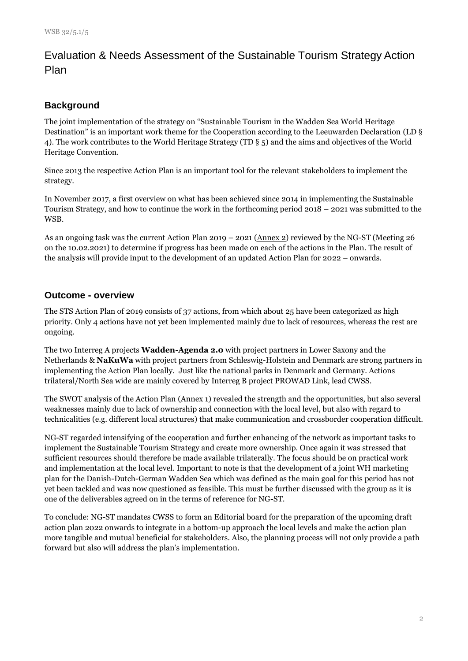## Evaluation & Needs Assessment of the Sustainable Tourism Strategy Action Plan

### **Background**

The joint implementation of the strategy on "Sustainable Tourism in the Wadden Sea World Heritage Destination" is an important work theme for the Cooperation according to the Leeuwarden Declaration (LD § 4). The work contributes to the World Heritage Strategy (TD § 5) and the aims and objectives of the World Heritage Convention.

Since 2013 the respective Action Plan is an important tool for the relevant stakeholders to implement the strategy.

In November 2017, a first overview on what has been achieved since 2014 in implementing the Sustainable Tourism Strategy, and how to continue the work in the forthcoming period 2018 – 2021 was submitted to the WSB.

As an ongoing task was the current Action Plan 2019 – 2021 (Annex 2) reviewed by the NG-ST (Meeting 26 on the 10.02.2021) to determine if progress has been made on each of the actions in the Plan. The result of the analysis will provide input to the development of an updated Action Plan for 2022 – onwards.

#### **Outcome - overview**

The STS Action Plan of 2019 consists of 37 actions, from which about 25 have been categorized as high priority. Only 4 actions have not yet been implemented mainly due to lack of resources, whereas the rest are ongoing.

The two Interreg A projects **Wadden-Agenda 2.0** with project partners in Lower Saxony and the Netherlands & **NaKuWa** with project partners from Schleswig-Holstein and Denmark are strong partners in implementing the Action Plan locally. Just like the national parks in Denmark and Germany. Actions trilateral/North Sea wide are mainly covered by Interreg B project PROWAD Link, lead CWSS.

The SWOT analysis of the Action Plan (Annex 1) revealed the strength and the opportunities, but also several weaknesses mainly due to lack of ownership and connection with the local level, but also with regard to technicalities (e.g. different local structures) that make communication and crossborder cooperation difficult.

NG-ST regarded intensifying of the cooperation and further enhancing of the network as important tasks to implement the Sustainable Tourism Strategy and create more ownership. Once again it was stressed that sufficient resources should therefore be made available trilaterally. The focus should be on practical work and implementation at the local level. Important to note is that the development of a joint WH marketing plan for the Danish-Dutch-German Wadden Sea which was defined as the main goal for this period has not yet been tackled and was now questioned as feasible. This must be further discussed with the group as it is one of the deliverables agreed on in the terms of reference for NG-ST.

To conclude: NG-ST mandates CWSS to form an Editorial board for the preparation of the upcoming draft action plan 2022 onwards to integrate in a bottom-up approach the local levels and make the action plan more tangible and mutual beneficial for stakeholders. Also, the planning process will not only provide a path forward but also will address the plan's implementation.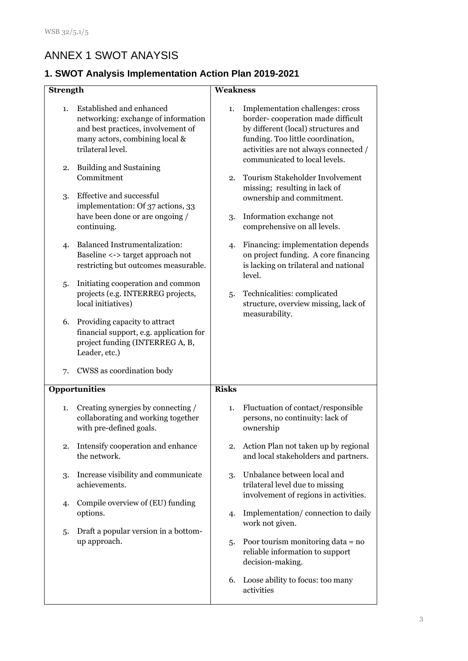# ANNEX 1 SWOT ANAYSIS

## **1. SWOT Analysis Implementation Action Plan 2019-2021**

|                 |                                                                                                                                                              | <b>Weakness</b> |                                                                                                                                                                                            |  |
|-----------------|--------------------------------------------------------------------------------------------------------------------------------------------------------------|-----------------|--------------------------------------------------------------------------------------------------------------------------------------------------------------------------------------------|--|
| <b>Strength</b> |                                                                                                                                                              |                 |                                                                                                                                                                                            |  |
| 1.              | Established and enhanced<br>networking: exchange of information<br>and best practices, involvement of<br>many actors, combining local &<br>trilateral level. | 1.              | Implementation challenges: cross<br>border-cooperation made difficult<br>by different (local) structures and<br>funding. Too little coordination,<br>activities are not always connected / |  |
| 2.              | <b>Building and Sustaining</b><br>Commitment                                                                                                                 | 2.              | communicated to local levels.<br>Tourism Stakeholder Involvement                                                                                                                           |  |
| 3.              | Effective and successful<br>implementation: Of 37 actions, 33<br>have been done or are ongoing /                                                             | 3.              | missing; resulting in lack of<br>ownership and commitment.<br>Information exchange not                                                                                                     |  |
|                 | continuing.                                                                                                                                                  |                 | comprehensive on all levels.                                                                                                                                                               |  |
| 4.              | <b>Balanced Instrumentalization:</b><br>Baseline <-> target approach not<br>restricting but outcomes measurable.                                             | 4.              | Financing: implementation depends<br>on project funding. A core financing<br>is lacking on trilateral and national<br>level.                                                               |  |
| 5.              | Initiating cooperation and common<br>projects (e.g. INTERREG projects,<br>local initiatives)                                                                 |                 | Technicalities: complicated<br>structure, overview missing, lack of                                                                                                                        |  |
| 6.              | Providing capacity to attract<br>financial support, e.g. application for<br>project funding (INTERREG A, B,<br>Leader, etc.)                                 |                 | measurability.                                                                                                                                                                             |  |
| 7.              | CWSS as coordination body                                                                                                                                    |                 |                                                                                                                                                                                            |  |
|                 | <b>Opportunities</b>                                                                                                                                         | <b>Risks</b>    |                                                                                                                                                                                            |  |
| 1.              | Creating synergies by connecting /<br>collaborating and working together<br>with pre-defined goals.                                                          | 1.              | Fluctuation of contact/responsible<br>persons, no continuity: lack of<br>ownership                                                                                                         |  |
| 2.              | Intensify cooperation and enhance<br>the network.                                                                                                            | 2.              | Action Plan not taken up by regional<br>and local stakeholders and partners.                                                                                                               |  |
| 3.              | Increase visibility and communicate<br>achievements.                                                                                                         | 3.              | Unbalance between local and<br>trilateral level due to missing<br>involvement of regions in activities.                                                                                    |  |
| 4.              | Compile overview of (EU) funding<br>options.                                                                                                                 | 4.              | Implementation/connection to daily<br>work not given.                                                                                                                                      |  |
| 5.              | Draft a popular version in a bottom-<br>up approach.                                                                                                         | 5.              | Poor tourism monitoring data = no<br>reliable information to support<br>decision-making.                                                                                                   |  |
|                 |                                                                                                                                                              | 6.              | Loose ability to focus: too many<br>activities                                                                                                                                             |  |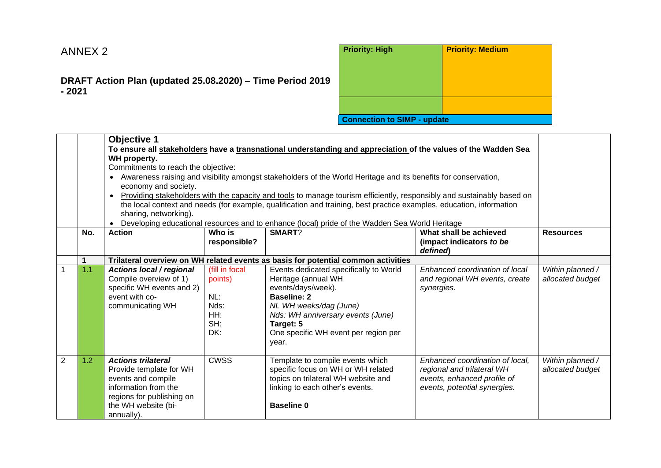# ANNEX 2

### **DRAFT Action Plan (updated 25.08.2020) – Time Period 2019 - 2021**

| <b>Priority: High</b>              | <b>Priority: Medium</b> |
|------------------------------------|-------------------------|
|                                    |                         |
|                                    |                         |
| <b>Connection to SIMP - update</b> |                         |

|                |     | <b>Objective 1</b><br>To ensure all stakeholders have a transnational understanding and appreciation of the values of the Wadden Sea<br>WH property.<br>Commitments to reach the objective:<br>Awareness raising and visibility amongst stakeholders of the World Heritage and its benefits for conservation,<br>$\bullet$<br>economy and society.<br>Providing stakeholders with the capacity and tools to manage tourism efficiently, responsibly and sustainably based on<br>$\bullet$<br>the local context and needs (for example, qualification and training, best practice examples, education, information<br>sharing, networking).<br>Developing educational resources and to enhance (local) pride of the Wadden Sea World Heritage<br>$\bullet$ |                                                               |                                                                                                                                                                                                                                        |                                                                                                                              |                                      |  |
|----------------|-----|-----------------------------------------------------------------------------------------------------------------------------------------------------------------------------------------------------------------------------------------------------------------------------------------------------------------------------------------------------------------------------------------------------------------------------------------------------------------------------------------------------------------------------------------------------------------------------------------------------------------------------------------------------------------------------------------------------------------------------------------------------------|---------------------------------------------------------------|----------------------------------------------------------------------------------------------------------------------------------------------------------------------------------------------------------------------------------------|------------------------------------------------------------------------------------------------------------------------------|--------------------------------------|--|
|                | No. | <b>Action</b>                                                                                                                                                                                                                                                                                                                                                                                                                                                                                                                                                                                                                                                                                                                                             | Who is<br>responsible?                                        | SMART?                                                                                                                                                                                                                                 | What shall be achieved<br>(impact indicators to be<br>defined)                                                               | <b>Resources</b>                     |  |
|                |     |                                                                                                                                                                                                                                                                                                                                                                                                                                                                                                                                                                                                                                                                                                                                                           |                                                               | Trilateral overview on WH related events as basis for potential common activities                                                                                                                                                      |                                                                                                                              |                                      |  |
|                | 1.1 | <b>Actions local / regional</b><br>Compile overview of 1)<br>specific WH events and 2)<br>event with co-<br>communicating WH                                                                                                                                                                                                                                                                                                                                                                                                                                                                                                                                                                                                                              | (fill in focal<br>points)<br>NL:<br>Nds:<br>HH:<br>SH:<br>DK: | Events dedicated specifically to World<br>Heritage (annual WH<br>events/days/week).<br><b>Baseline: 2</b><br>NL WH weeks/dag (June)<br>Nds: WH anniversary events (June)<br>Target: 5<br>One specific WH event per region per<br>year. | Enhanced coordination of local<br>and regional WH events, create<br>synergies.                                               | Within planned /<br>allocated budget |  |
| $\overline{2}$ | 1.2 | <b>Actions trilateral</b><br>Provide template for WH<br>events and compile<br>information from the<br>regions for publishing on<br>the WH website (bi-<br>annually).                                                                                                                                                                                                                                                                                                                                                                                                                                                                                                                                                                                      | <b>CWSS</b>                                                   | Template to compile events which<br>specific focus on WH or WH related<br>topics on trilateral WH website and<br>linking to each other's events.<br><b>Baseline 0</b>                                                                  | Enhanced coordination of local,<br>regional and trilateral WH<br>events, enhanced profile of<br>events, potential synergies. | Within planned /<br>allocated budget |  |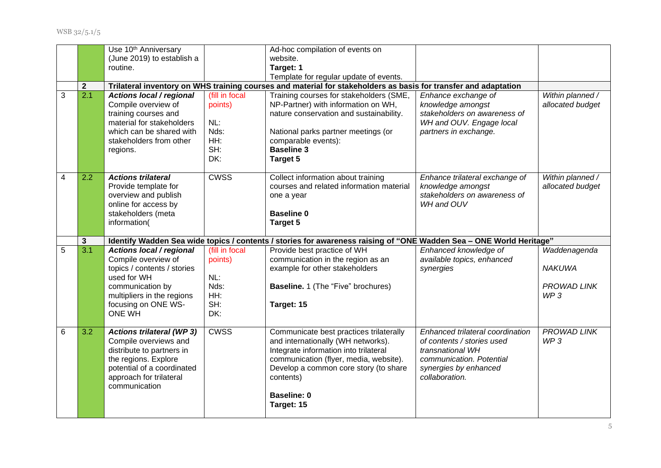WSB 32/5.1/5

|                |              | Use 10 <sup>th</sup> Anniversary                                                                                                                                        |                                                               | Ad-hoc compilation of events on                                                                                                                                                                                          |                                                                                                                               |                                      |
|----------------|--------------|-------------------------------------------------------------------------------------------------------------------------------------------------------------------------|---------------------------------------------------------------|--------------------------------------------------------------------------------------------------------------------------------------------------------------------------------------------------------------------------|-------------------------------------------------------------------------------------------------------------------------------|--------------------------------------|
|                |              | (June 2019) to establish a                                                                                                                                              |                                                               | website.                                                                                                                                                                                                                 |                                                                                                                               |                                      |
|                |              | routine.                                                                                                                                                                |                                                               | Target: 1                                                                                                                                                                                                                |                                                                                                                               |                                      |
|                |              |                                                                                                                                                                         |                                                               | Template for regular update of events.                                                                                                                                                                                   |                                                                                                                               |                                      |
|                | $\mathbf{2}$ |                                                                                                                                                                         |                                                               | Trilateral inventory on WHS training courses and material for stakeholders as basis for transfer and adaptation                                                                                                          |                                                                                                                               |                                      |
| 3              | 2.1          | Actions local / regional<br>Compile overview of<br>training courses and<br>material for stakeholders<br>which can be shared with<br>stakeholders from other<br>regions. | (fill in focal<br>points)<br>NL:<br>Nds:<br>HH:<br>SH:<br>DK: | Training courses for stakeholders (SME,<br>NP-Partner) with information on WH,<br>nature conservation and sustainability.<br>National parks partner meetings (or<br>comparable events):<br><b>Baseline 3</b><br>Target 5 | Enhance exchange of<br>knowledge amongst<br>stakeholders on awareness of<br>WH and OUV. Engage local<br>partners in exchange. | Within planned /<br>allocated budget |
| $\overline{4}$ | 2.2          | <b>Actions trilateral</b><br>Provide template for<br>overview and publish<br>online for access by<br>stakeholders (meta<br>information(                                 | <b>CWSS</b>                                                   | Collect information about training<br>courses and related information material<br>one a year<br><b>Baseline 0</b><br>Target 5                                                                                            | Enhance trilateral exchange of<br>knowledge amongst<br>stakeholders on awareness of<br>WH and OUV                             | Within planned /<br>allocated budget |
|                | $\mathbf{3}$ |                                                                                                                                                                         |                                                               | Identify Wadden Sea wide topics / contents / stories for awareness raising of "ONE Wadden Sea - ONE World Heritage"                                                                                                      |                                                                                                                               |                                      |
|                |              |                                                                                                                                                                         |                                                               |                                                                                                                                                                                                                          |                                                                                                                               |                                      |
| 5              | 3.1          | Actions local / regional<br>Compile overview of<br>topics / contents / stories                                                                                          | (fill in focal<br>points)                                     | Provide best practice of WH<br>communication in the region as an<br>example for other stakeholders                                                                                                                       | Enhanced knowledge of<br>available topics, enhanced<br>synergies                                                              | Waddenagenda<br><b>NAKUWA</b>        |
|                |              | used for WH<br>communication by<br>multipliers in the regions<br>focusing on ONE WS-<br><b>ONE WH</b>                                                                   | NL:<br>Nds:<br>HH:<br>SH:<br>DK:                              | <b>Baseline.</b> 1 (The "Five" brochures)<br>Target: 15                                                                                                                                                                  |                                                                                                                               | <b>PROWAD LINK</b><br>WP3            |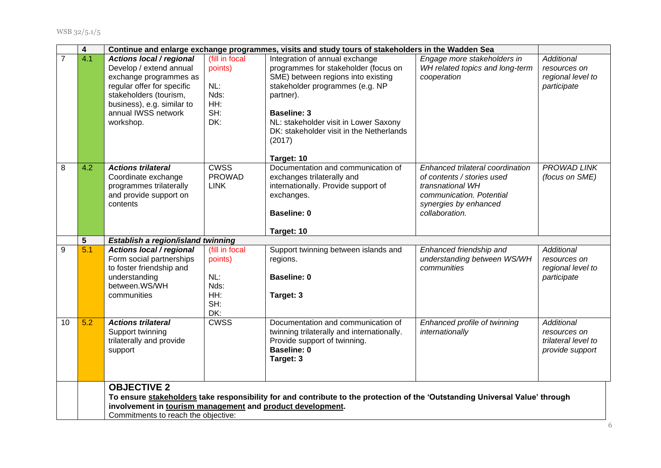|                | 4   |                                                                                                                                                                                                         |                                                               | Continue and enlarge exchange programmes, visits and study tours of stakeholders in the Wadden Sea                                                                                                                                                                                              |                                                                                                                                                           |                                                                             |
|----------------|-----|---------------------------------------------------------------------------------------------------------------------------------------------------------------------------------------------------------|---------------------------------------------------------------|-------------------------------------------------------------------------------------------------------------------------------------------------------------------------------------------------------------------------------------------------------------------------------------------------|-----------------------------------------------------------------------------------------------------------------------------------------------------------|-----------------------------------------------------------------------------|
| $\overline{7}$ | 4.1 | Actions local / regional<br>Develop / extend annual<br>exchange programmes as<br>regular offer for specific<br>stakeholders (tourism,<br>business), e.g. similar to<br>annual IWSS network<br>workshop. | (fill in focal<br>points)<br>NL:<br>Nds:<br>HH:<br>SH:<br>DK: | Integration of annual exchange<br>programmes for stakeholder (focus on<br>SME) between regions into existing<br>stakeholder programmes (e.g. NP<br>partner).<br><b>Baseline: 3</b><br>NL: stakeholder visit in Lower Saxony<br>DK: stakeholder visit in the Netherlands<br>(2017)<br>Target: 10 | Engage more stakeholders in<br>WH related topics and long-term<br>cooperation                                                                             | Additional<br>resources on<br>regional level to<br>participate              |
| 8              | 4.2 | <b>Actions trilateral</b><br>Coordinate exchange<br>programmes trilaterally<br>and provide support on<br>contents                                                                                       | <b>CWSS</b><br><b>PROWAD</b><br><b>LINK</b>                   | Documentation and communication of<br>exchanges trilaterally and<br>internationally. Provide support of<br>exchanges.<br><b>Baseline: 0</b><br>Target: 10                                                                                                                                       | Enhanced trilateral coordination<br>of contents / stories used<br>transnational WH<br>communication. Potential<br>synergies by enhanced<br>collaboration. | PROWAD LINK<br>(focus on SME)                                               |
|                | 5   | Establish a region/island twinning                                                                                                                                                                      |                                                               |                                                                                                                                                                                                                                                                                                 |                                                                                                                                                           |                                                                             |
| 9              | 5.1 | <b>Actions local / regional</b><br>Form social partnerships<br>to foster friendship and<br>understanding<br>between.WS/WH<br>communities                                                                | (fill in focal<br>points)<br>NL:<br>Nds:<br>HH:<br>SH:<br>DK: | Support twinning between islands and<br>regions.<br><b>Baseline: 0</b><br>Target: 3                                                                                                                                                                                                             | Enhanced friendship and<br>understanding between WS/WH<br>communities                                                                                     | <b>Additional</b><br>resources on<br>regional level to<br>participate       |
| 10             | 5.2 | <b>Actions trilateral</b><br>Support twinning<br>trilaterally and provide<br>support                                                                                                                    | <b>CWSS</b>                                                   | Documentation and communication of<br>twinning trilaterally and internationally.<br>Provide support of twinning.<br><b>Baseline: 0</b><br>Target: 3                                                                                                                                             | Enhanced profile of twinning<br>internationally                                                                                                           | <b>Additional</b><br>resources on<br>trilateral level to<br>provide support |
|                |     | <b>OBJECTIVE 2</b><br>involvement in tourism management and product development.<br>Commitments to reach the objective:                                                                                 |                                                               | To ensure stakeholders take responsibility for and contribute to the protection of the 'Outstanding Universal Value' through                                                                                                                                                                    |                                                                                                                                                           |                                                                             |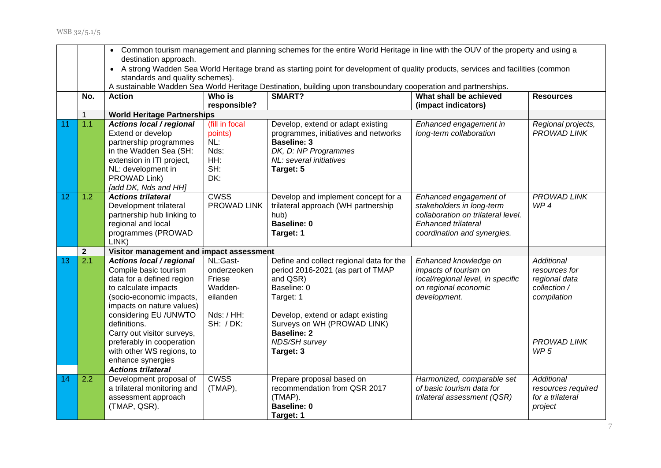|    |              | Common tourism management and planning schemes for the entire World Heritage in line with the OUV of the property and using a<br>$\bullet$<br>destination approach.<br>A strong Wadden Sea World Heritage brand as starting point for development of quality products, services and facilities (common<br>$\bullet$<br>standards and quality schemes).<br>A sustainable Wadden Sea World Heritage Destination, building upon transboundary cooperation and partnerships. |                                                                                            |                                                                                                                                                                                                                                  |                                                                                                                                                 |                                                                                                          |  |
|----|--------------|--------------------------------------------------------------------------------------------------------------------------------------------------------------------------------------------------------------------------------------------------------------------------------------------------------------------------------------------------------------------------------------------------------------------------------------------------------------------------|--------------------------------------------------------------------------------------------|----------------------------------------------------------------------------------------------------------------------------------------------------------------------------------------------------------------------------------|-------------------------------------------------------------------------------------------------------------------------------------------------|----------------------------------------------------------------------------------------------------------|--|
|    | No.          | <b>Action</b>                                                                                                                                                                                                                                                                                                                                                                                                                                                            | Who is<br>responsible?                                                                     | SMART?                                                                                                                                                                                                                           | What shall be achieved<br>(impact indicators)                                                                                                   | <b>Resources</b>                                                                                         |  |
|    | $\mathbf{1}$ | <b>World Heritage Partnerships</b>                                                                                                                                                                                                                                                                                                                                                                                                                                       |                                                                                            |                                                                                                                                                                                                                                  |                                                                                                                                                 |                                                                                                          |  |
| 11 | 1.1          | <b>Actions local / regional</b><br>Extend or develop<br>partnership programmes<br>in the Wadden Sea (SH:<br>extension in ITI project,<br>NL: development in<br>PROWAD Link)<br>[add DK, Nds and HH]                                                                                                                                                                                                                                                                      | (fill in focal<br>points)<br>NL:<br>Nds:<br>HH:<br>SH:<br>DK:                              | Develop, extend or adapt existing<br>programmes, initiatives and networks<br><b>Baseline: 3</b><br>DK, D: NP Programmes<br>NL: several initiatives<br>Target: 5                                                                  | Enhanced engagement in<br>long-term collaboration                                                                                               | Regional projects,<br>PROWAD LINK                                                                        |  |
| 12 | 1.2          | <b>Actions trilateral</b><br>Development trilateral<br>partnership hub linking to<br>regional and local<br>programmes (PROWAD<br>LINK)                                                                                                                                                                                                                                                                                                                                   | <b>CWSS</b><br><b>PROWAD LINK</b>                                                          | Develop and implement concept for a<br>trilateral approach (WH partnership<br>hub)<br><b>Baseline: 0</b><br>Target: 1                                                                                                            | Enhanced engagement of<br>stakeholders in long-term<br>collaboration on trilateral level.<br>Enhanced trilateral<br>coordination and synergies. | <b>PROWAD LINK</b><br>WP4                                                                                |  |
|    | $\mathbf{2}$ | Visitor management and impact assessment                                                                                                                                                                                                                                                                                                                                                                                                                                 |                                                                                            |                                                                                                                                                                                                                                  |                                                                                                                                                 |                                                                                                          |  |
| 13 | 2.1          | <b>Actions local / regional</b><br>Compile basic tourism<br>data for a defined region<br>to calculate impacts<br>(socio-economic impacts,<br>impacts on nature values)<br>considering EU /UNWTO<br>definitions.<br>Carry out visitor surveys,<br>preferably in cooperation                                                                                                                                                                                               | NL:Gast-<br>onderzeoken<br>Friese<br>Wadden-<br>eilanden<br>Nds: / HH:<br><b>SH: / DK:</b> | Define and collect regional data for the<br>period 2016-2021 (as part of TMAP<br>and QSR)<br>Baseline: 0<br>Target: 1<br>Develop, extend or adapt existing<br>Surveys on WH (PROWAD LINK)<br><b>Baseline: 2</b><br>NDS/SH survey | Enhanced knowledge on<br>impacts of tourism on<br>local/regional level, in specific<br>on regional economic<br>development.                     | <b>Additional</b><br>resources for<br>regional data<br>collection /<br>compilation<br><b>PROWAD LINK</b> |  |
|    |              | with other WS regions, to<br>enhance synergies                                                                                                                                                                                                                                                                                                                                                                                                                           |                                                                                            | Target: 3                                                                                                                                                                                                                        |                                                                                                                                                 | WP <sub>5</sub>                                                                                          |  |
|    |              | <b>Actions trilateral</b>                                                                                                                                                                                                                                                                                                                                                                                                                                                |                                                                                            |                                                                                                                                                                                                                                  |                                                                                                                                                 |                                                                                                          |  |
| 14 | 2.2          | Development proposal of<br>a trilateral monitoring and<br>assessment approach<br>(TMAP, QSR).                                                                                                                                                                                                                                                                                                                                                                            | <b>CWSS</b><br>(TMAP),                                                                     | Prepare proposal based on<br>recommendation from QSR 2017<br>(TMAP).<br><b>Baseline: 0</b><br>Target: 1                                                                                                                          | Harmonized, comparable set<br>of basic tourism data for<br>trilateral assessment (QSR)                                                          | <b>Additional</b><br>resources required<br>for a trilateral<br>project                                   |  |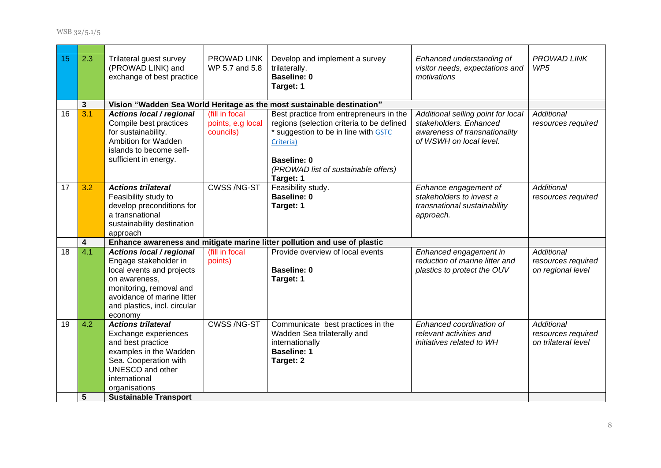| 15              | 2.3          | Trilateral guest survey<br>(PROWAD LINK) and<br>exchange of best practice                                                                                                                                       | PROWAD LINK<br>WP 5.7 and 5.8                    | Develop and implement a survey<br>trilaterally.<br><b>Baseline: 0</b><br>Target: 1                                                                                                                           | Enhanced understanding of<br>visitor needs, expectations and<br>motivations                                              | PROWAD LINK<br>WP <sub>5</sub>                                 |
|-----------------|--------------|-----------------------------------------------------------------------------------------------------------------------------------------------------------------------------------------------------------------|--------------------------------------------------|--------------------------------------------------------------------------------------------------------------------------------------------------------------------------------------------------------------|--------------------------------------------------------------------------------------------------------------------------|----------------------------------------------------------------|
|                 | $\mathbf{3}$ |                                                                                                                                                                                                                 |                                                  | Vision "Wadden Sea World Heritage as the most sustainable destination"                                                                                                                                       |                                                                                                                          |                                                                |
| $\overline{16}$ | 3.1          | <b>Actions local / regional</b><br>Compile best practices<br>for sustainability.<br>Ambition for Wadden<br>islands to become self-<br>sufficient in energy.                                                     | (fill in focal<br>points, e.g local<br>councils) | Best practice from entrepreneurs in the<br>regions (selection criteria to be defined<br>* suggestion to be in line with GSTC<br>Criteria)<br>Baseline: 0<br>(PROWAD list of sustainable offers)<br>Target: 1 | Additional selling point for local<br>stakeholders. Enhanced<br>awareness of transnationality<br>of WSWH on local level. | Additional<br>resources required                               |
| 17              | 3.2          | <b>Actions trilateral</b><br>Feasibility study to<br>develop preconditions for<br>a transnational<br>sustainability destination<br>approach                                                                     | <b>CWSS/NG-ST</b>                                | Feasibility study.<br><b>Baseline: 0</b><br>Target: 1                                                                                                                                                        | Enhance engagement of<br>stakeholders to invest a<br>transnational sustainability<br>approach.                           | <b>Additional</b><br>resources required                        |
|                 | 4            |                                                                                                                                                                                                                 |                                                  | Enhance awareness and mitigate marine litter pollution and use of plastic                                                                                                                                    |                                                                                                                          |                                                                |
| 18              | 4.1          | Actions local / regional<br>Engage stakeholder in<br>local events and projects<br>on awareness,<br>monitoring, removal and<br>avoidance of marine litter<br>and plastics, incl. circular<br>economy             | (fill in focal<br>points)                        | Provide overview of local events<br><b>Baseline: 0</b><br>Target: 1                                                                                                                                          | Enhanced engagement in<br>reduction of marine litter and<br>plastics to protect the OUV                                  | Additional<br>resources required<br>on regional level          |
| 19              | 4.2<br>5     | <b>Actions trilateral</b><br>Exchange experiences<br>and best practice<br>examples in the Wadden<br>Sea. Cooperation with<br>UNESCO and other<br>international<br>organisations<br><b>Sustainable Transport</b> | <b>CWSS/NG-ST</b>                                | Communicate best practices in the<br>Wadden Sea trilaterally and<br>internationally<br><b>Baseline: 1</b><br>Target: 2                                                                                       | Enhanced coordination of<br>relevant activities and<br>initiatives related to WH                                         | <b>Additional</b><br>resources required<br>on trilateral level |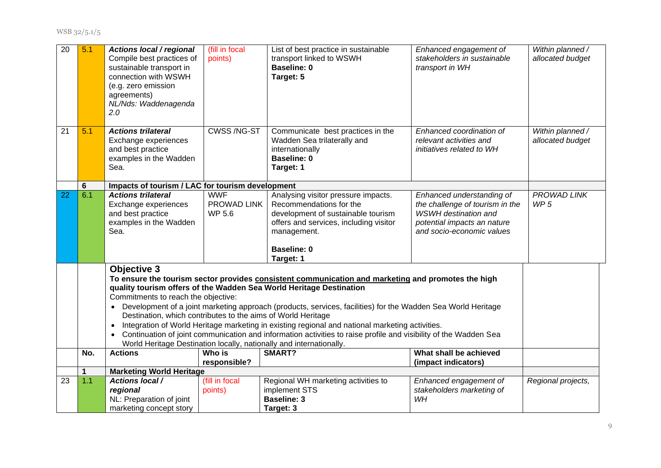WSB 32/5.1/5

| $\overline{20}$ | 5.1 | <b>Actions local / regional</b><br>Compile best practices of<br>sustainable transport in<br>connection with WSWH<br>(e.g. zero emission<br>agreements)<br>NL/Nds: Waddenagenda<br>2.0                                                                                                                                                                                                                                                                                                                                                                                                                                                                                                                                                          | (fill in focal<br>points)           | List of best practice in sustainable<br>transport linked to WSWH<br><b>Baseline: 0</b><br>Target: 5                                                                                              | Enhanced engagement of<br>stakeholders in sustainable<br>transport in WH                                                                                | Within planned /<br>allocated budget |  |
|-----------------|-----|------------------------------------------------------------------------------------------------------------------------------------------------------------------------------------------------------------------------------------------------------------------------------------------------------------------------------------------------------------------------------------------------------------------------------------------------------------------------------------------------------------------------------------------------------------------------------------------------------------------------------------------------------------------------------------------------------------------------------------------------|-------------------------------------|--------------------------------------------------------------------------------------------------------------------------------------------------------------------------------------------------|---------------------------------------------------------------------------------------------------------------------------------------------------------|--------------------------------------|--|
| 21              | 5.1 | <b>Actions trilateral</b><br>Exchange experiences<br>and best practice<br>examples in the Wadden<br>Sea.                                                                                                                                                                                                                                                                                                                                                                                                                                                                                                                                                                                                                                       | CWSS/NG-ST                          | Communicate best practices in the<br>Wadden Sea trilaterally and<br>internationally<br><b>Baseline: 0</b><br>Target: 1                                                                           | Enhanced coordination of<br>relevant activities and<br>initiatives related to WH                                                                        | Within planned /<br>allocated budget |  |
|                 | 6   | Impacts of tourism / LAC for tourism development                                                                                                                                                                                                                                                                                                                                                                                                                                                                                                                                                                                                                                                                                               |                                     |                                                                                                                                                                                                  |                                                                                                                                                         |                                      |  |
| 22              | 6.1 | <b>Actions trilateral</b><br>Exchange experiences<br>and best practice<br>examples in the Wadden<br>Sea.                                                                                                                                                                                                                                                                                                                                                                                                                                                                                                                                                                                                                                       | <b>WWF</b><br>PROWAD LINK<br>WP 5.6 | Analysing visitor pressure impacts.<br>Recommendations for the<br>development of sustainable tourism<br>offers and services, including visitor<br>management.<br><b>Baseline: 0</b><br>Target: 1 | Enhanced understanding of<br>the challenge of tourism in the<br><b>WSWH</b> destination and<br>potential impacts an nature<br>and socio-economic values | PROWAD LINK<br>WP <sub>5</sub>       |  |
|                 |     | <b>Objective 3</b><br>To ensure the tourism sector provides consistent communication and marketing and promotes the high<br>quality tourism offers of the Wadden Sea World Heritage Destination<br>Commitments to reach the objective:<br>Development of a joint marketing approach (products, services, facilities) for the Wadden Sea World Heritage<br>$\bullet$<br>Destination, which contributes to the aims of World Heritage<br>Integration of World Heritage marketing in existing regional and national marketing activities.<br>$\bullet$<br>Continuation of joint communication and information activities to raise profile and visibility of the Wadden Sea<br>World Heritage Destination locally, nationally and internationally. |                                     |                                                                                                                                                                                                  |                                                                                                                                                         |                                      |  |
|                 | No. | <b>Actions</b>                                                                                                                                                                                                                                                                                                                                                                                                                                                                                                                                                                                                                                                                                                                                 | Who is<br>responsible?              | SMART?                                                                                                                                                                                           | What shall be achieved<br>(impact indicators)                                                                                                           |                                      |  |
|                 | 1   | <b>Marketing World Heritage</b>                                                                                                                                                                                                                                                                                                                                                                                                                                                                                                                                                                                                                                                                                                                |                                     |                                                                                                                                                                                                  |                                                                                                                                                         |                                      |  |
| 23              | 1.1 | <b>Actions local /</b><br>regional<br>NL: Preparation of joint<br>marketing concept story                                                                                                                                                                                                                                                                                                                                                                                                                                                                                                                                                                                                                                                      | (fill in focal<br>points)           | Regional WH marketing activities to<br>implement STS<br><b>Baseline: 3</b><br>Target: 3                                                                                                          | Enhanced engagement of<br>stakeholders marketing of<br>WH                                                                                               | Regional projects,                   |  |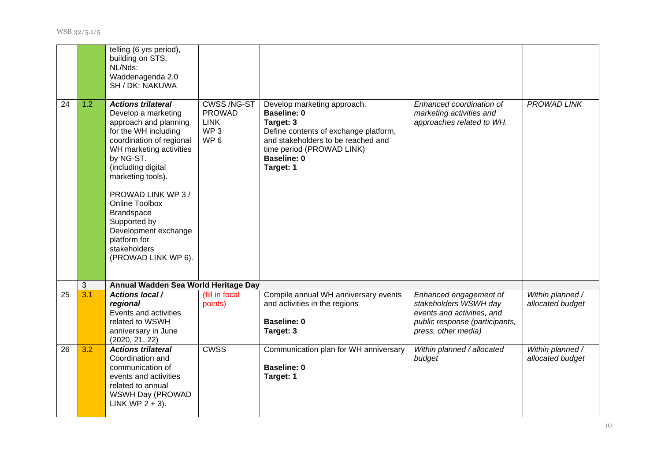|    |     | telling (6 yrs period),<br>building on STS.<br>NL/Nds:<br>Waddenagenda 2.0<br>SH / DK: NAKUWA                                                                                                                                                                                                                                                                                       |                                                                                         |                                                                                                                                                                                                               |                                                                                                                                        |                                      |
|----|-----|-------------------------------------------------------------------------------------------------------------------------------------------------------------------------------------------------------------------------------------------------------------------------------------------------------------------------------------------------------------------------------------|-----------------------------------------------------------------------------------------|---------------------------------------------------------------------------------------------------------------------------------------------------------------------------------------------------------------|----------------------------------------------------------------------------------------------------------------------------------------|--------------------------------------|
| 24 | 1.2 | <b>Actions trilateral</b><br>Develop a marketing<br>approach and planning<br>for the WH including<br>coordination of regional<br>WH marketing activities<br>by NG-ST.<br>(including digital<br>marketing tools).<br>PROWAD LINK WP 3 /<br><b>Online Toolbox</b><br><b>Brandspace</b><br>Supported by<br>Development exchange<br>platform for<br>stakeholders<br>(PROWAD LINK WP 6). | <b>CWSS/NG-ST</b><br><b>PROWAD</b><br><b>LINK</b><br>WP <sub>3</sub><br>WP <sub>6</sub> | Develop marketing approach.<br><b>Baseline: 0</b><br>Target: 3<br>Define contents of exchange platform,<br>and stakeholders to be reached and<br>time period (PROWAD LINK)<br><b>Baseline: 0</b><br>Target: 1 | Enhanced coordination of<br>marketing activities and<br>approaches related to WH.                                                      | <b>PROWAD LINK</b>                   |
|    | 3   | Annual Wadden Sea World Heritage Day                                                                                                                                                                                                                                                                                                                                                |                                                                                         |                                                                                                                                                                                                               |                                                                                                                                        |                                      |
| 25 | 3.1 | <b>Actions local /</b><br>regional<br>Events and activities<br>related to WSWH<br>anniversary in June<br>(2020, 21, 22)                                                                                                                                                                                                                                                             | (fill in focal<br>points)                                                               | Compile annual WH anniversary events<br>and activities in the regions<br><b>Baseline: 0</b><br>Target: 3                                                                                                      | Enhanced engagement of<br>stakeholders WSWH day<br>events and activities, and<br>public response (participants,<br>press, other media) | Within planned /<br>allocated budget |
| 26 | 3.2 | <b>Actions trilateral</b><br>Coordination and<br>communication of<br>events and activities<br>related to annual<br>WSWH Day (PROWAD<br>LINK WP $2 + 3$ ).                                                                                                                                                                                                                           | <b>CWSS</b>                                                                             | Communication plan for WH anniversary<br><b>Baseline: 0</b><br>Target: 1                                                                                                                                      | Within planned / allocated<br>budget                                                                                                   | Within planned /<br>allocated budget |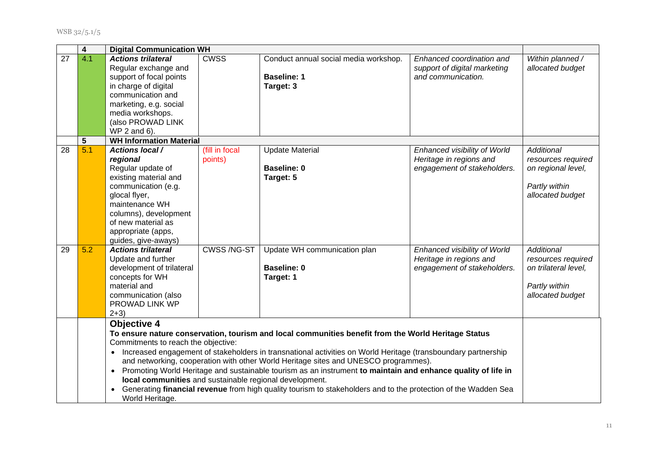|                 | 4   | <b>Digital Communication WH</b>                                                                                                                                                                                                        |                           |                                                                                                                                                                                                                                                                                                                                                                                                                                                                                                                                                 |                                                                                        |                                                                                               |
|-----------------|-----|----------------------------------------------------------------------------------------------------------------------------------------------------------------------------------------------------------------------------------------|---------------------------|-------------------------------------------------------------------------------------------------------------------------------------------------------------------------------------------------------------------------------------------------------------------------------------------------------------------------------------------------------------------------------------------------------------------------------------------------------------------------------------------------------------------------------------------------|----------------------------------------------------------------------------------------|-----------------------------------------------------------------------------------------------|
| $\overline{27}$ | 4.1 | <b>Actions trilateral</b><br>Regular exchange and<br>support of focal points<br>in charge of digital<br>communication and<br>marketing, e.g. social<br>media workshops.<br>(also PROWAD LINK<br>WP 2 and 6).                           | <b>CWSS</b>               | Conduct annual social media workshop.<br><b>Baseline: 1</b><br>Target: 3                                                                                                                                                                                                                                                                                                                                                                                                                                                                        | Enhanced coordination and<br>support of digital marketing<br>and communication.        | Within planned /<br>allocated budget                                                          |
|                 | 5   | <b>WH Information Material</b>                                                                                                                                                                                                         |                           |                                                                                                                                                                                                                                                                                                                                                                                                                                                                                                                                                 |                                                                                        |                                                                                               |
| 28              | 5.1 | <b>Actions local /</b><br>regional<br>Regular update of<br>existing material and<br>communication (e.g.<br>glocal flyer,<br>maintenance WH<br>columns), development<br>of new material as<br>appropriate (apps,<br>guides, give-aways) | (fill in focal<br>points) | <b>Update Material</b><br><b>Baseline: 0</b><br>Target: 5                                                                                                                                                                                                                                                                                                                                                                                                                                                                                       | Enhanced visibility of World<br>Heritage in regions and<br>engagement of stakeholders. | Additional<br>resources required<br>on regional level,<br>Partly within<br>allocated budget   |
| 29              | 5.2 | <b>Actions trilateral</b><br>Update and further<br>development of trilateral<br>concepts for WH<br>material and<br>communication (also<br>PROWAD LINK WP<br>$2+3)$                                                                     | CWSS /NG-ST               | Update WH communication plan<br><b>Baseline: 0</b><br>Target: 1                                                                                                                                                                                                                                                                                                                                                                                                                                                                                 | Enhanced visibility of World<br>Heritage in regions and<br>engagement of stakeholders. | Additional<br>resources required<br>on trilateral level,<br>Partly within<br>allocated budget |
|                 |     | <b>Objective 4</b><br>Commitments to reach the objective:<br>$\bullet$<br>local communities and sustainable regional development.<br>World Heritage.                                                                                   |                           | To ensure nature conservation, tourism and local communities benefit from the World Heritage Status<br>• Increased engagement of stakeholders in transnational activities on World Heritage (transboundary partnership<br>and networking, cooperation with other World Heritage sites and UNESCO programmes).<br>Promoting World Heritage and sustainable tourism as an instrument to maintain and enhance quality of life in<br>Generating financial revenue from high quality tourism to stakeholders and to the protection of the Wadden Sea |                                                                                        |                                                                                               |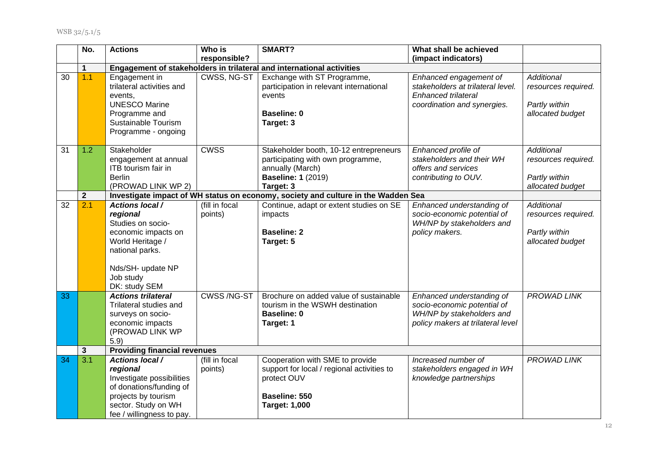|    | No.              | <b>Actions</b>                                                                                                                                                           | Who is                    | SMART?                                                                                                                                    | What shall be achieved                                                                                                     |                                                                               |
|----|------------------|--------------------------------------------------------------------------------------------------------------------------------------------------------------------------|---------------------------|-------------------------------------------------------------------------------------------------------------------------------------------|----------------------------------------------------------------------------------------------------------------------------|-------------------------------------------------------------------------------|
|    |                  |                                                                                                                                                                          | responsible?              |                                                                                                                                           | (impact indicators)                                                                                                        |                                                                               |
|    | $\mathbf 1$      |                                                                                                                                                                          |                           | Engagement of stakeholders in trilateral and international activities                                                                     |                                                                                                                            |                                                                               |
| 30 | 1.1              | Engagement in<br>trilateral activities and<br>events.<br><b>UNESCO Marine</b><br>Programme and<br>Sustainable Tourism<br>Programme - ongoing                             | <b>CWSS, NG-ST</b>        | Exchange with ST Programme,<br>participation in relevant international<br>events<br><b>Baseline: 0</b><br>Target: 3                       | Enhanced engagement of<br>stakeholders at trilateral level.<br>Enhanced trilateral<br>coordination and synergies.          | <b>Additional</b><br>resources required.<br>Partly within<br>allocated budget |
| 31 | 1.2              | Stakeholder<br>engagement at annual<br>ITB tourism fair in<br><b>Berlin</b><br>(PROWAD LINK WP 2)                                                                        | <b>CWSS</b>               | Stakeholder booth, 10-12 entrepreneurs<br>participating with own programme,<br>annually (March)<br><b>Baseline: 1 (2019)</b><br>Target: 3 | Enhanced profile of<br>stakeholders and their WH<br>offers and services<br>contributing to OUV.                            | Additional<br>resources required.<br>Partly within<br>allocated budget        |
|    | $\mathbf{2}$     |                                                                                                                                                                          |                           | Investigate impact of WH status on economy, society and culture in the Wadden Sea                                                         |                                                                                                                            |                                                                               |
| 32 | 2.1              | <b>Actions local /</b><br>regional<br>Studies on socio-<br>economic impacts on<br>World Heritage /<br>national parks.<br>Nds/SH- update NP<br>Job study<br>DK: study SEM | (fill in focal<br>points) | Continue, adapt or extent studies on SE<br>impacts<br><b>Baseline: 2</b><br>Target: 5                                                     | Enhanced understanding of<br>socio-economic potential of<br>WH/NP by stakeholders and<br>policy makers.                    | Additional<br>resources required.<br>Partly within<br>allocated budget        |
| 33 |                  | <b>Actions trilateral</b><br>Trilateral studies and<br>surveys on socio-<br>economic impacts<br>(PROWAD LINK WP<br>5.9                                                   | CWSS/NG-ST                | Brochure on added value of sustainable<br>tourism in the WSWH destination<br><b>Baseline: 0</b><br>Target: 1                              | Enhanced understanding of<br>socio-economic potential of<br>WH/NP by stakeholders and<br>policy makers at trilateral level | PROWAD LINK                                                                   |
|    | 3                | <b>Providing financial revenues</b>                                                                                                                                      |                           |                                                                                                                                           |                                                                                                                            |                                                                               |
| 34 | $\overline{3.1}$ | <b>Actions local /</b><br>regional<br>Investigate possibilities<br>of donations/funding of<br>projects by tourism<br>sector. Study on WH<br>fee / willingness to pay.    | (fill in focal<br>points) | Cooperation with SME to provide<br>support for local / regional activities to<br>protect OUV<br>Baseline: 550<br><b>Target: 1,000</b>     | Increased number of<br>stakeholders engaged in WH<br>knowledge partnerships                                                | PROWAD LINK                                                                   |